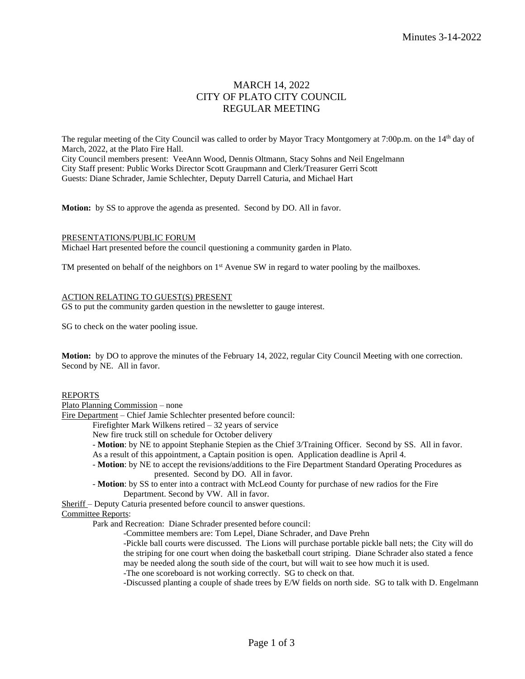# MARCH 14, 2022 CITY OF PLATO CITY COUNCIL REGULAR MEETING

The regular meeting of the City Council was called to order by Mayor Tracy Montgomery at 7:00p.m. on the 14<sup>th</sup> day of March, 2022, at the Plato Fire Hall. City Council members present: VeeAnn Wood, Dennis Oltmann, Stacy Sohns and Neil Engelmann City Staff present: Public Works Director Scott Graupmann and Clerk/Treasurer Gerri Scott Guests: Diane Schrader, Jamie Schlechter, Deputy Darrell Caturia, and Michael Hart

**Motion:** by SS to approve the agenda as presented. Second by DO. All in favor.

### PRESENTATIONS/PUBLIC FORUM

Michael Hart presented before the council questioning a community garden in Plato.

TM presented on behalf of the neighbors on 1<sup>st</sup> Avenue SW in regard to water pooling by the mailboxes.

## ACTION RELATING TO GUEST(S) PRESENT

GS to put the community garden question in the newsletter to gauge interest.

SG to check on the water pooling issue.

**Motion:** by DO to approve the minutes of the February 14, 2022, regular City Council Meeting with one correction. Second by NE. All in favor.

## REPORTS

Plato Planning Commission – none

Fire Department – Chief Jamie Schlechter presented before council:

Firefighter Mark Wilkens retired – 32 years of service

- New fire truck still on schedule for October delivery
- **Motion**: by NE to appoint Stephanie Stepien as the Chief 3/Training Officer. Second by SS. All in favor. As a result of this appointment, a Captain position is open. Application deadline is April 4.
- **Motion**: by NE to accept the revisions/additions to the Fire Department Standard Operating Procedures as presented. Second by DO. All in favor.
- **Motion**: by SS to enter into a contract with McLeod County for purchase of new radios for the Fire Department. Second by VW. All in favor.

Sheriff – Deputy Caturia presented before council to answer questions.

Committee Reports:

Park and Recreation: Diane Schrader presented before council:

-Committee members are: Tom Lepel, Diane Schrader, and Dave Prehn

-Pickle ball courts were discussed. The Lions will purchase portable pickle ball nets; the City will do the striping for one court when doing the basketball court striping. Diane Schrader also stated a fence may be needed along the south side of the court, but will wait to see how much it is used.

-The one scoreboard is not working correctly. SG to check on that.

-Discussed planting a couple of shade trees by E/W fields on north side. SG to talk with D. Engelmann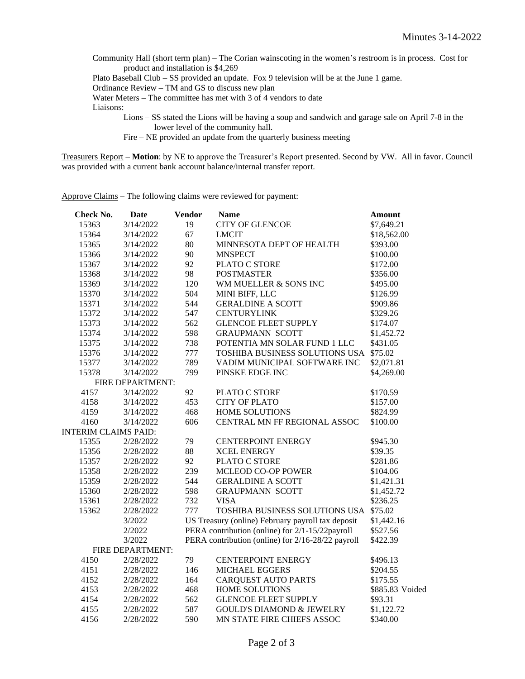Community Hall (short term plan) – The Corian wainscoting in the women's restroom is in process. Cost for product and installation is \$4,269

Plato Baseball Club – SS provided an update. Fox 9 television will be at the June 1 game.

Ordinance Review – TM and GS to discuss new plan

Water Meters – The committee has met with 3 of 4 vendors to date

Liaisons:

Lions – SS stated the Lions will be having a soup and sandwich and garage sale on April 7-8 in the lower level of the community hall.

Fire – NE provided an update from the quarterly business meeting

Treasurers Report – **Motion**: by NE to approve the Treasurer's Report presented. Second by VW. All in favor. Council was provided with a current bank account balance/internal transfer report.

Approve Claims – The following claims were reviewed for payment:

| <b>Check No.</b>            | <b>Date</b>      | <b>Vendor</b> | <b>Name</b>                                       | <b>Amount</b>         |
|-----------------------------|------------------|---------------|---------------------------------------------------|-----------------------|
| 15363                       | 3/14/2022        | 19            | <b>CITY OF GLENCOE</b>                            | \$7,649.21            |
| 15364                       | 3/14/2022        | 67            | <b>LMCIT</b>                                      | \$18,562.00           |
| 15365                       | 3/14/2022        | 80            | MINNESOTA DEPT OF HEALTH                          | \$393.00              |
| 15366                       | 3/14/2022        | 90            | <b>MNSPECT</b>                                    | \$100.00              |
| 15367                       | 3/14/2022        | 92            | PLATO C STORE                                     | \$172.00              |
| 15368                       | 3/14/2022        | 98            | <b>POSTMASTER</b>                                 | \$356.00              |
| 15369                       | 3/14/2022        | 120           | WM MUELLER & SONS INC                             | \$495.00              |
| 15370                       | 3/14/2022        | 504           | MINI BIFF, LLC                                    | \$126.99              |
| 15371                       | 3/14/2022        | 544           | <b>GERALDINE A SCOTT</b>                          | \$909.86              |
| 15372                       | 3/14/2022        | 547           | <b>CENTURYLINK</b>                                | \$329.26              |
| 15373                       | 3/14/2022        | 562           | <b>GLENCOE FLEET SUPPLY</b>                       | \$174.07              |
| 15374                       | 3/14/2022        | 598           | <b>GRAUPMANN SCOTT</b>                            | \$1,452.72            |
| 15375                       | 3/14/2022        | 738           | POTENTIA MN SOLAR FUND 1 LLC                      | \$431.05              |
| 15376                       | 3/14/2022        | 777           | TOSHIBA BUSINESS SOLUTIONS USA                    | \$75.02               |
| 15377                       | 3/14/2022        | 789           | VADIM MUNICIPAL SOFTWARE INC                      | \$2,071.81            |
| 15378                       | 3/14/2022        | 799           | PINSKE EDGE INC                                   | \$4,269.00            |
| FIRE DEPARTMENT:            |                  |               |                                                   |                       |
| 4157                        | 3/14/2022        | 92            | PLATO C STORE                                     | \$170.59              |
| 4158                        | 3/14/2022        | 453           | <b>CITY OF PLATO</b>                              | \$157.00              |
| 4159                        | 3/14/2022        | 468           | <b>HOME SOLUTIONS</b>                             | \$824.99              |
| 4160                        | 3/14/2022        | 606           | CENTRAL MN FF REGIONAL ASSOC                      | \$100.00              |
| <b>INTERIM CLAIMS PAID:</b> |                  |               |                                                   |                       |
| 15355                       | 2/28/2022        | 79            | <b>CENTERPOINT ENERGY</b>                         | \$945.30              |
| 15356                       | 2/28/2022        | 88            | <b>XCEL ENERGY</b>                                | \$39.35               |
| 15357                       | 2/28/2022        | 92            | PLATO C STORE                                     | \$281.86              |
| 15358                       | 2/28/2022        | 239           | <b>MCLEOD CO-OP POWER</b>                         | \$104.06              |
| 15359                       | 2/28/2022        | 544           | <b>GERALDINE A SCOTT</b>                          | \$1,421.31            |
| 15360                       | 2/28/2022        | 598           | <b>GRAUPMANN SCOTT</b>                            | \$1,452.72            |
| 15361                       | 2/28/2022        | 732           | <b>VISA</b>                                       | \$236.25              |
| 15362                       | 2/28/2022        | 777           | TOSHIBA BUSINESS SOLUTIONS USA                    | \$75.02<br>\$1,442.16 |
|                             | 3/2022           |               | US Treasury (online) February payroll tax deposit |                       |
|                             | 2/2022           |               | PERA contribution (online) for 2/1-15/22payroll   | \$527.56              |
|                             | 3/2022           |               | PERA contribution (online) for 2/16-28/22 payroll | \$422.39              |
|                             | FIRE DEPARTMENT: |               |                                                   |                       |
| 4150                        | 2/28/2022        | 79            | <b>CENTERPOINT ENERGY</b>                         | \$496.13              |
| 4151                        | 2/28/2022        | 146           | MICHAEL EGGERS                                    | \$204.55              |
| 4152                        | 2/28/2022        | 164           | <b>CARQUEST AUTO PARTS</b>                        | \$175.55              |
| 4153                        | 2/28/2022        | 468           | HOME SOLUTIONS                                    | \$885.83 Voided       |
| 4154                        | 2/28/2022        | 562           | <b>GLENCOE FLEET SUPPLY</b>                       | \$93.31               |
| 4155                        | 2/28/2022        | 587           | <b>GOULD'S DIAMOND &amp; JEWELRY</b>              | \$1,122.72            |
| 4156                        | 2/28/2022        | 590           | MN STATE FIRE CHIEFS ASSOC                        | \$340.00              |